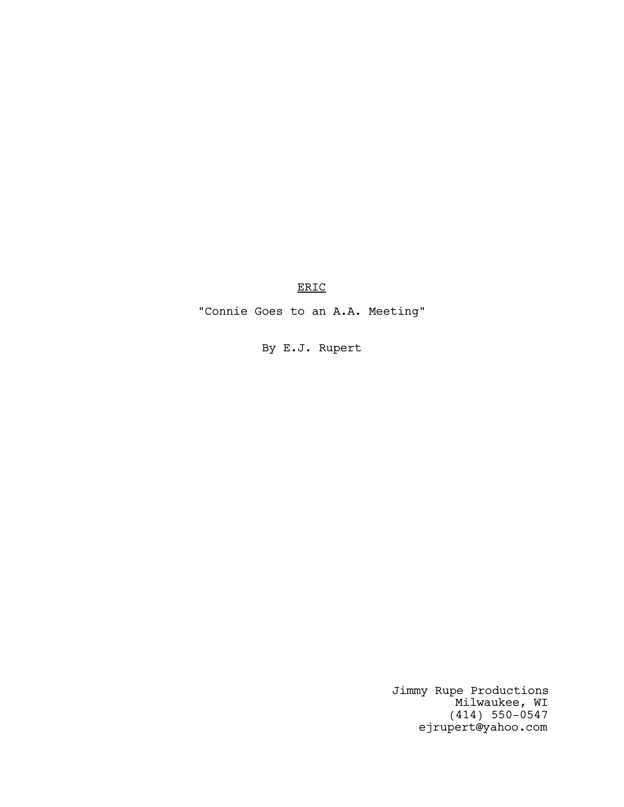ERIC

"Connie Goes to an A.A. Meeting"

By E.J. Rupert

Jimmy Rupe Productions Milwaukee, WI (414) 550-0547 ejrupert@yahoo.com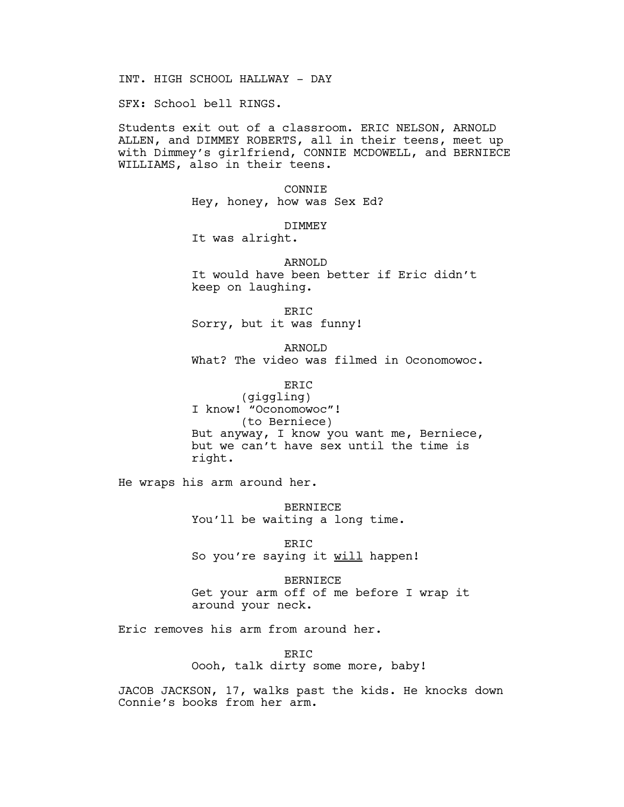INT. HIGH SCHOOL HALLWAY - DAY

SFX: School bell RINGS.

Students exit out of a classroom. ERIC NELSON, ARNOLD ALLEN, and DIMMEY ROBERTS, all in their teens, meet up with Dimmey's girlfriend, CONNIE MCDOWELL, and BERNIECE WILLIAMS, also in their teens.

> CONNIE Hey, honey, how was Sex Ed?

> > DIMMEY

It was alright.

ARNOLD It would have been better if Eric didn't keep on laughing.

ERIC Sorry, but it was funny!

ARNOLD What? The video was filmed in Oconomowoc.

ERIC (giggling) I know! "Oconomowoc"! (to Berniece) But anyway, I know you want me, Berniece, but we can't have sex until the time is right.

He wraps his arm around her.

BERNIECE You'll be waiting a long time.

ERIC So you're saying it will happen!

BERNIECE Get your arm off of me before I wrap it around your neck.

Eric removes his arm from around her.

ERIC Oooh, talk dirty some more, baby!

JACOB JACKSON, 17, walks past the kids. He knocks down Connie's books from her arm.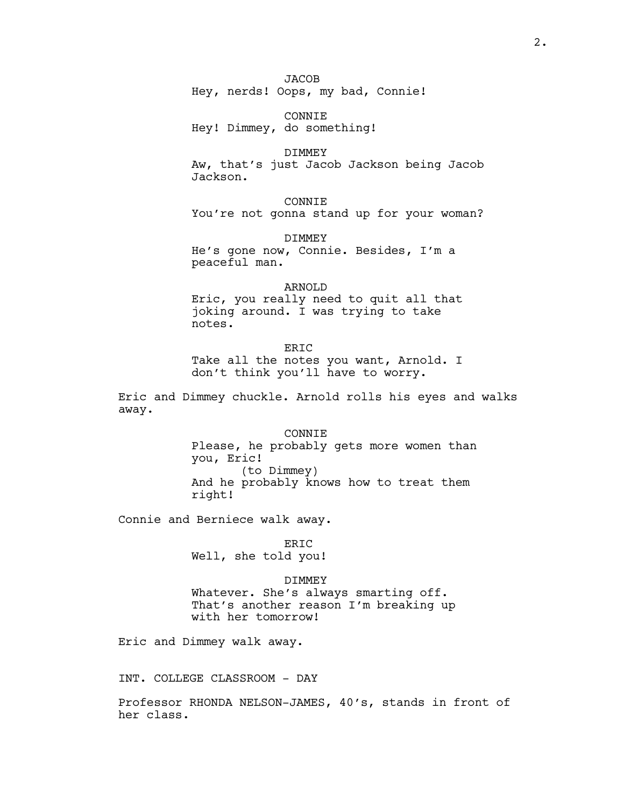CONNIE Hey! Dimmey, do something!

## DIMMEY

Aw, that's just Jacob Jackson being Jacob Jackson.

CONNIE You're not gonna stand up for your woman?

DIMMEY He's gone now, Connie. Besides, I'm a peaceful man.

ARNOLD Eric, you really need to quit all that joking around. I was trying to take notes.

ER<sub>TC</sub>

Take all the notes you want, Arnold. I don't think you'll have to worry.

Eric and Dimmey chuckle. Arnold rolls his eyes and walks away.

> **CONNIE** Please, he probably gets more women than you, Eric! (to Dimmey) And he probably knows how to treat them right!

Connie and Berniece walk away.

ERIC Well, she told you!

#### DIMMEY

Whatever. She's always smarting off. That's another reason I'm breaking up with her tomorrow!

Eric and Dimmey walk away.

INT. COLLEGE CLASSROOM - DAY

Professor RHONDA NELSON-JAMES, 40's, stands in front of her class.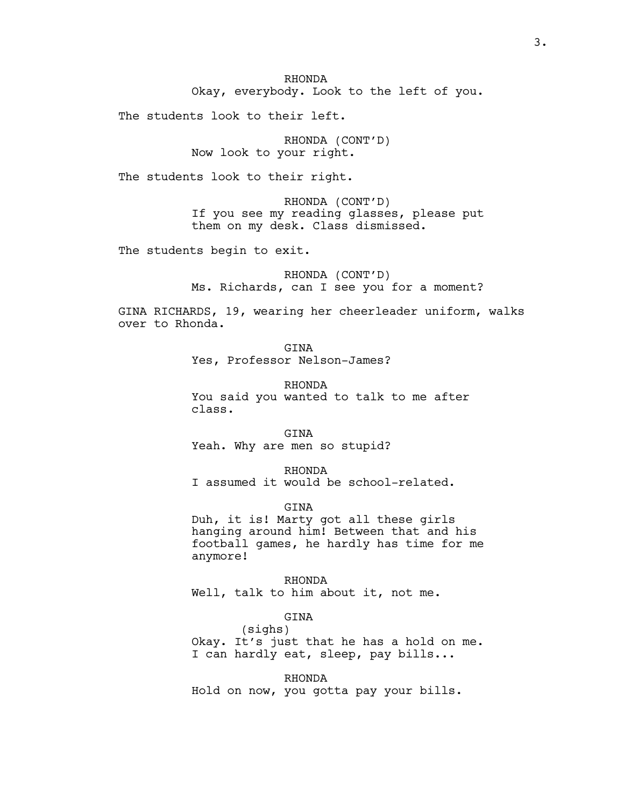RHONDA Okay, everybody. Look to the left of you.

The students look to their left.

RHONDA (CONT'D) Now look to your right.

The students look to their right.

RHONDA (CONT'D) If you see my reading glasses, please put them on my desk. Class dismissed.

The students begin to exit.

RHONDA (CONT'D) Ms. Richards, can I see you for a moment?

GINA RICHARDS, 19, wearing her cheerleader uniform, walks over to Rhonda.

> GTNA Yes, Professor Nelson-James?

RHONDA You said you wanted to talk to me after class.

GINA

Yeah. Why are men so stupid?

RHONDA

I assumed it would be school-related.

GINA

Duh, it is! Marty got all these girls hanging around him! Between that and his football games, he hardly has time for me anymore!

RHONDA Well, talk to him about it, not me.

GINA

(sighs) Okay. It's just that he has a hold on me. I can hardly eat, sleep, pay bills...

RHONDA Hold on now, you gotta pay your bills.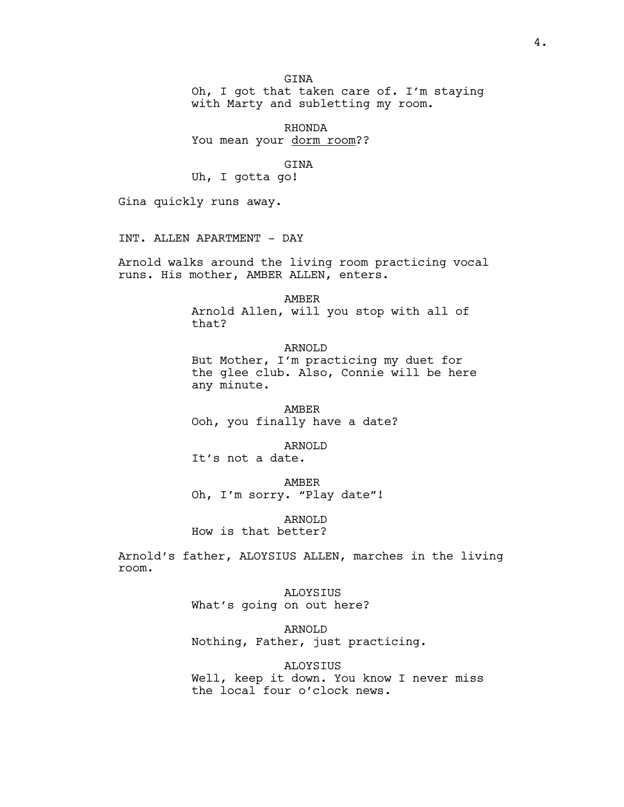Oh, I got that taken care of. I'm staying with Marty and subletting my room.

RHONDA You mean your dorm room??

GINA

Uh, I gotta go!

Gina quickly runs away.

INT. ALLEN APARTMENT - DAY

Arnold walks around the living room practicing vocal runs. His mother, AMBER ALLEN, enters.

AMBER

Arnold Allen, will you stop with all of that?

ARNOLD But Mother, I'm practicing my duet for the glee club. Also, Connie will be here any minute.

AMBER Ooh, you finally have a date?

ARNOLD It's not a date.

AMBER Oh, I'm sorry. "Play date"!

ARNOLD How is that better?

Arnold's father, ALOYSIUS ALLEN, marches in the living room.

> ALOYSIUS What's going on out here?

> > ARNOLD

Nothing, Father, just practicing.

ALOYSIUS

Well, keep it down. You know I never miss the local four o'clock news.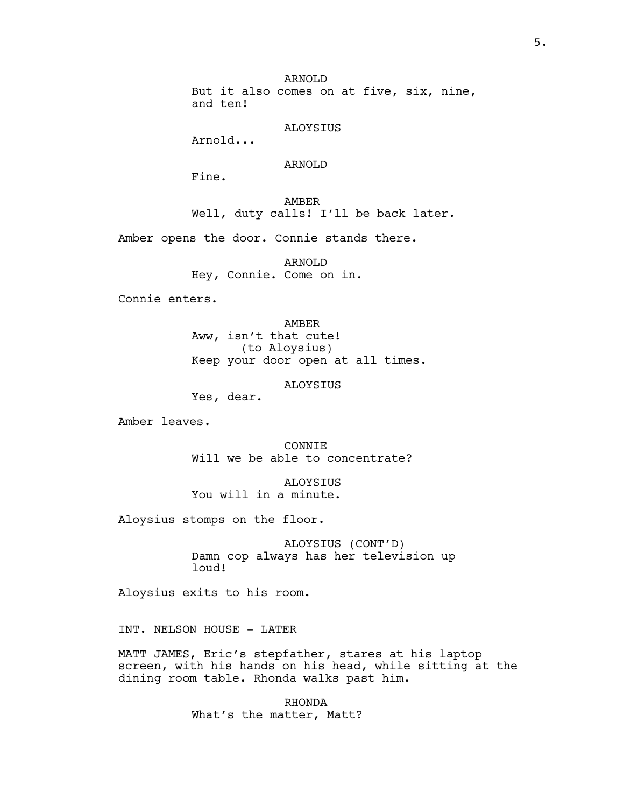ARNOLD But it also comes on at five, six, nine, and ten!

ALOYSIUS

Arnold...

## ARNOLD

Fine.

AMBER Well, duty calls! I'll be back later.

Amber opens the door. Connie stands there.

ARNOLD Hey, Connie. Come on in.

Connie enters.

AMBER Aww, isn't that cute! (to Aloysius) Keep your door open at all times.

ALOYSIUS

Yes, dear.

Amber leaves.

CONNIE Will we be able to concentrate?

ALOYSIUS You will in a minute.

Aloysius stomps on the floor.

ALOYSIUS (CONT'D) Damn cop always has her television up loud!

Aloysius exits to his room.

INT. NELSON HOUSE - LATER

MATT JAMES, Eric's stepfather, stares at his laptop screen, with his hands on his head, while sitting at the dining room table. Rhonda walks past him.

> RHONDA What's the matter, Matt?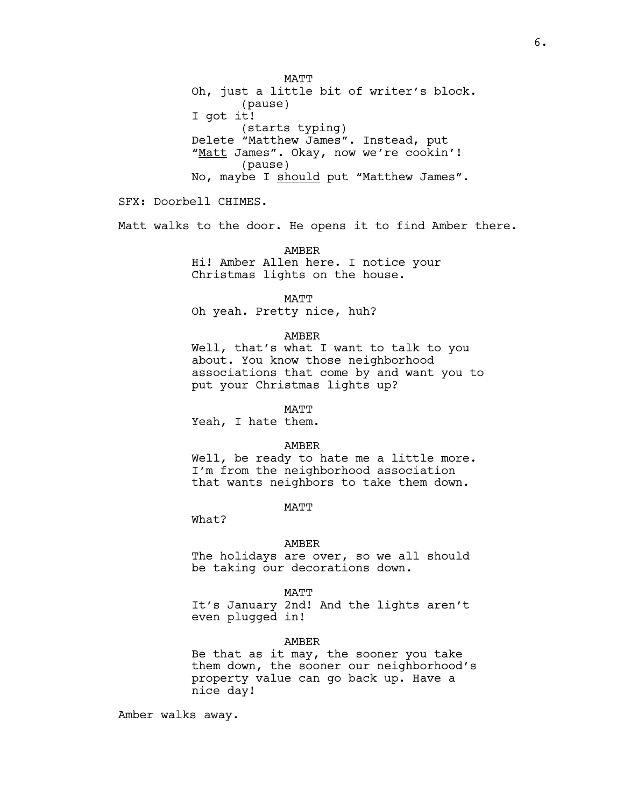Oh, just a little bit of writer's block. (pause) I got it! (starts typing) Delete "Matthew James". Instead, put "Matt James". Okay, now we're cookin'! (pause) No, maybe I should put "Matthew James".

SFX: Doorbell CHIMES.

Matt walks to the door. He opens it to find Amber there.

AMBER

Hi! Amber Allen here. I notice your Christmas lights on the house.

MATT

Oh yeah. Pretty nice, huh?

## AMBER

Well, that's what I want to talk to you about. You know those neighborhood associations that come by and want you to put your Christmas lights up?

#### MATT

Yeah, I hate them.

#### AMBER

Well, be ready to hate me a little more. I'm from the neighborhood association that wants neighbors to take them down.

# **MATT**

What?

#### AMBER

The holidays are over, so we all should be taking our decorations down.

#### MATT

It's January 2nd! And the lights aren't even plugged in!

#### AMBER

Be that as it may, the sooner you take them down, the sooner our neighborhood's property value can go back up. Have a nice day!

Amber walks away.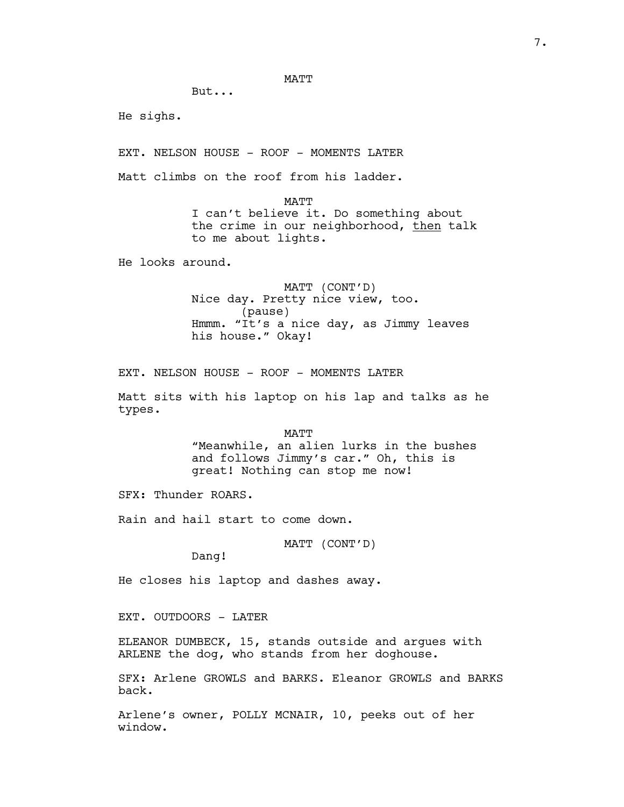## MATT

But...

He sighs.

EXT. NELSON HOUSE - ROOF - MOMENTS LATER

Matt climbs on the roof from his ladder.

MATT

I can't believe it. Do something about the crime in our neighborhood, then talk to me about lights.

He looks around.

MATT (CONT'D) Nice day. Pretty nice view, too. (pause) Hmmm. "It's a nice day, as Jimmy leaves his house." Okay!

EXT. NELSON HOUSE - ROOF - MOMENTS LATER

Matt sits with his laptop on his lap and talks as he types.

> MATT "Meanwhile, an alien lurks in the bushes and follows Jimmy's car." Oh, this is great! Nothing can stop me now!

SFX: Thunder ROARS.

Rain and hail start to come down.

MATT (CONT'D)

Dang!

He closes his laptop and dashes away.

EXT. OUTDOORS - LATER

ELEANOR DUMBECK, 15, stands outside and argues with ARLENE the dog, who stands from her doghouse.

SFX: Arlene GROWLS and BARKS. Eleanor GROWLS and BARKS back.

Arlene's owner, POLLY MCNAIR, 10, peeks out of her window.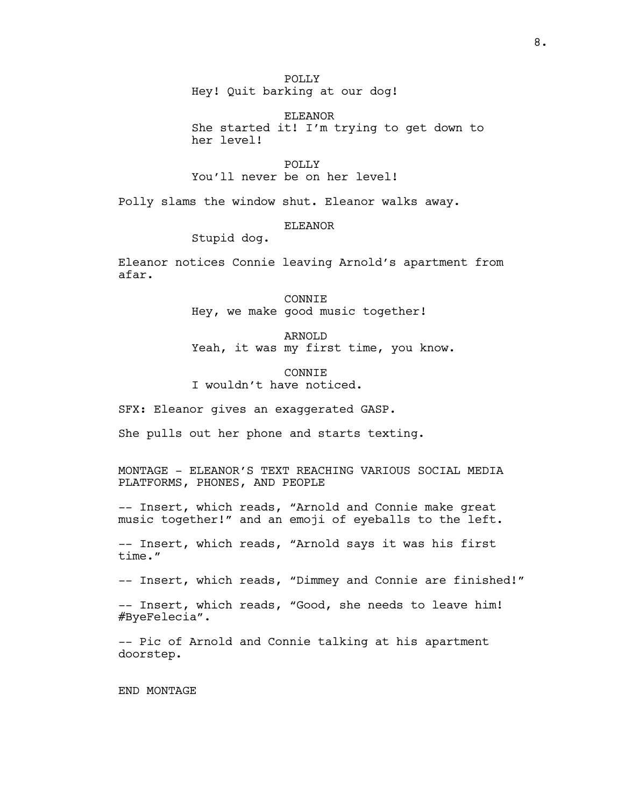POLLY Hey! Quit barking at our dog!

ELEANOR She started it! I'm trying to get down to her level!

POLLY You'll never be on her level!

Polly slams the window shut. Eleanor walks away.

## ELEANOR

Stupid dog.

Eleanor notices Connie leaving Arnold's apartment from afar.

> CONNIE Hey, we make good music together!

ARNOLD Yeah, it was my first time, you know.

**CONNIE** I wouldn't have noticed.

SFX: Eleanor gives an exaggerated GASP.

She pulls out her phone and starts texting.

MONTAGE - ELEANOR'S TEXT REACHING VARIOUS SOCIAL MEDIA PLATFORMS, PHONES, AND PEOPLE

-- Insert, which reads, "Arnold and Connie make great music together!" and an emoji of eyeballs to the left.

-- Insert, which reads, "Arnold says it was his first time."

-- Insert, which reads, "Dimmey and Connie are finished!"

-- Insert, which reads, "Good, she needs to leave him! #ByeFelecia".

-- Pic of Arnold and Connie talking at his apartment doorstep.

END MONTAGE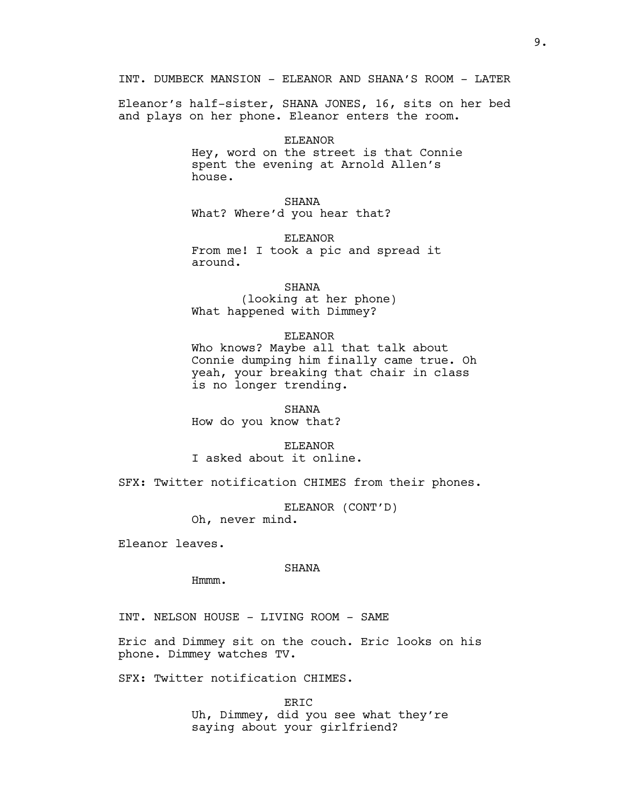Eleanor's half-sister, SHANA JONES, 16, sits on her bed and plays on her phone. Eleanor enters the room.

#### ELEANOR

Hey, word on the street is that Connie spent the evening at Arnold Allen's house.

SHANA What? Where'd you hear that?

ELEANOR From me! I took a pic and spread it around.

SHANA (looking at her phone) What happened with Dimmey?

## ELEANOR

Who knows? Maybe all that talk about Connie dumping him finally came true. Oh yeah, your breaking that chair in class is no longer trending.

SHANA

How do you know that?

ELEANOR

I asked about it online.

SFX: Twitter notification CHIMES from their phones.

ELEANOR (CONT'D) Oh, never mind.

Eleanor leaves.

#### SHANA

Hmmm.

INT. NELSON HOUSE - LIVING ROOM - SAME

Eric and Dimmey sit on the couch. Eric looks on his phone. Dimmey watches TV.

SFX: Twitter notification CHIMES.

ERIC Uh, Dimmey, did you see what they're saying about your girlfriend?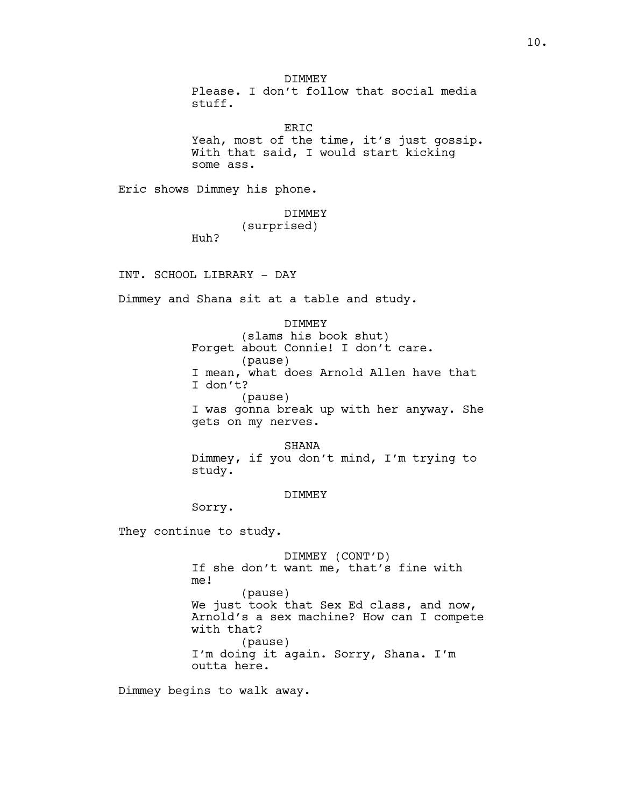DIMMEY Please. I don't follow that social media stuff.

ERIC Yeah, most of the time, it's just gossip. With that said, I would start kicking some ass.

Eric shows Dimmey his phone.

DIMMEY

(surprised)

Huh?

INT. SCHOOL LIBRARY - DAY

Dimmey and Shana sit at a table and study.

DIMMEY

(slams his book shut) Forget about Connie! I don't care. (pause) I mean, what does Arnold Allen have that I don't? (pause) I was gonna break up with her anyway. She gets on my nerves.

SHANA Dimmey, if you don't mind, I'm trying to study.

DIMMEY

Sorry.

They continue to study.

DIMMEY (CONT'D) If she don't want me, that's fine with me! (pause) We just took that Sex Ed class, and now, Arnold's a sex machine? How can I compete with that? (pause) I'm doing it again. Sorry, Shana. I'm outta here.

Dimmey begins to walk away.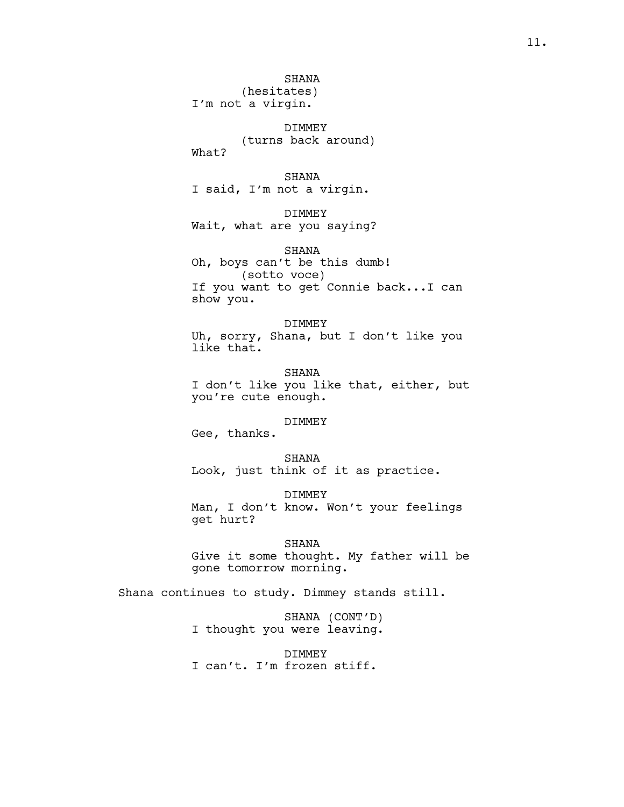## SHANA

(hesitates) I'm not a virgin.

DIMMEY (turns back around) What?

SHANA I said, I'm not a virgin.

DIMMEY Wait, what are you saying?

SHANA Oh, boys can't be this dumb! (sotto voce) If you want to get Connie back...I can show you.

DIMMEY Uh, sorry, Shana, but I don't like you like that.

SHANA I don't like you like that, either, but you're cute enough.

# DIMMEY

Gee, thanks.

SHANA Look, just think of it as practice.

DIMMEY Man, I don't know. Won't your feelings get hurt?

SHANA Give it some thought. My father will be gone tomorrow morning.

Shana continues to study. Dimmey stands still.

SHANA (CONT'D) I thought you were leaving.

DIMMEY I can't. I'm frozen stiff.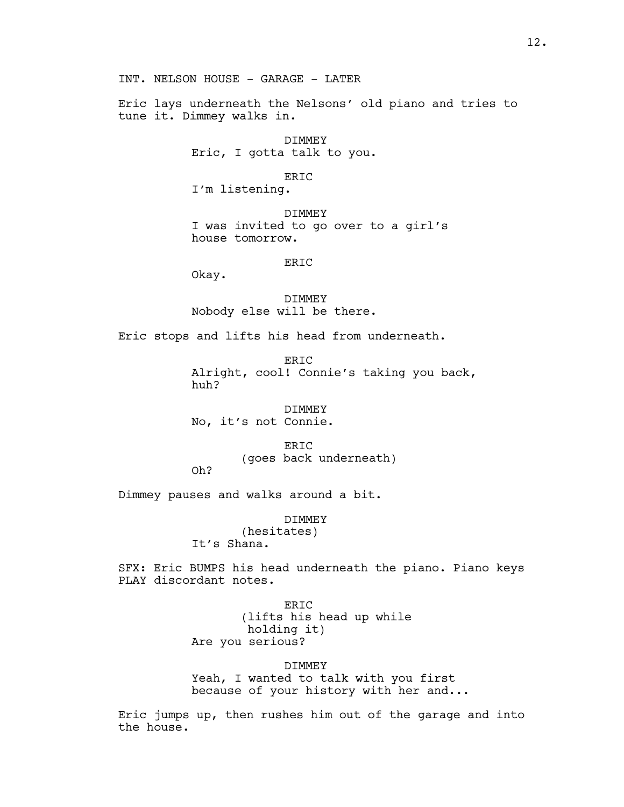INT. NELSON HOUSE - GARAGE - LATER

Eric lays underneath the Nelsons' old piano and tries to tune it. Dimmey walks in.

> DIMMEY Eric, I gotta talk to you.

> > ERIC

I'm listening.

DIMMEY I was invited to go over to a girl's house tomorrow.

ERIC

Okay.

DIMMEY Nobody else will be there.

Eric stops and lifts his head from underneath.

ERIC Alright, cool! Connie's taking you back, huh?

DIMMEY No, it's not Connie.

> ERIC (goes back underneath)

Oh?

Dimmey pauses and walks around a bit.

DIMMEY

(hesitates) It's Shana.

SFX: Eric BUMPS his head underneath the piano. Piano keys PLAY discordant notes.

> ERIC (lifts his head up while holding it) Are you serious?

> > DIMMEY

Yeah, I wanted to talk with you first because of your history with her and...

Eric jumps up, then rushes him out of the garage and into the house.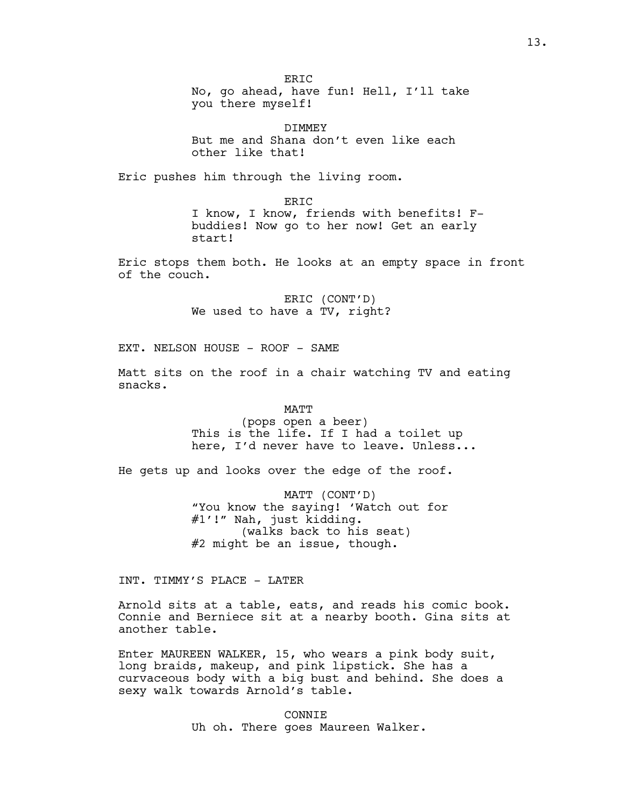ER<sub>TC</sub> No, go ahead, have fun! Hell, I'll take you there myself!

DIMMEY But me and Shana don't even like each other like that!

Eric pushes him through the living room.

ERIC I know, I know, friends with benefits! Fbuddies! Now go to her now! Get an early start!

Eric stops them both. He looks at an empty space in front of the couch.

> ERIC (CONT'D) We used to have a TV, right?

EXT. NELSON HOUSE - ROOF - SAME

Matt sits on the roof in a chair watching TV and eating snacks.

> MATT (pops open a beer) This is the life. If I had a toilet up here, I'd never have to leave. Unless...

He gets up and looks over the edge of the roof.

MATT (CONT'D) "You know the saying! 'Watch out for #1'!" Nah, just kidding. (walks back to his seat) #2 might be an issue, though.

INT. TIMMY'S PLACE - LATER

Arnold sits at a table, eats, and reads his comic book. Connie and Berniece sit at a nearby booth. Gina sits at another table.

Enter MAUREEN WALKER, 15, who wears a pink body suit, long braids, makeup, and pink lipstick. She has a curvaceous body with a big bust and behind. She does a sexy walk towards Arnold's table.

> CONNIE Uh oh. There goes Maureen Walker.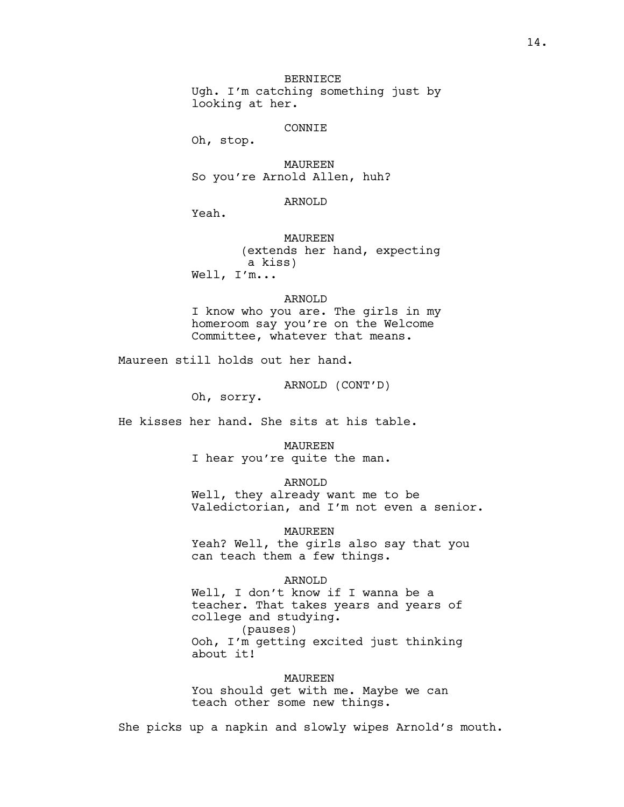BERNIECE Ugh. I'm catching something just by looking at her.

#### CONNIE

Oh, stop.

MAUREEN So you're Arnold Allen, huh?

## ARNOLD

Yeah.

MAUREEN (extends her hand, expecting a kiss) Well, I'm...

#### ARNOLD

I know who you are. The girls in my homeroom say you're on the Welcome Committee, whatever that means.

Maureen still holds out her hand.

ARNOLD (CONT'D)

Oh, sorry.

He kisses her hand. She sits at his table.

MAUREEN I hear you're quite the man.

ARNOLD

Well, they already want me to be Valedictorian, and I'm not even a senior.

MAUREEN Yeah? Well, the girls also say that you can teach them a few things.

#### ARNOLD

Well, I don't know if I wanna be a teacher. That takes years and years of college and studying. (pauses) Ooh, I'm getting excited just thinking about it!

MAUREEN You should get with me. Maybe we can teach other some new things.

She picks up a napkin and slowly wipes Arnold's mouth.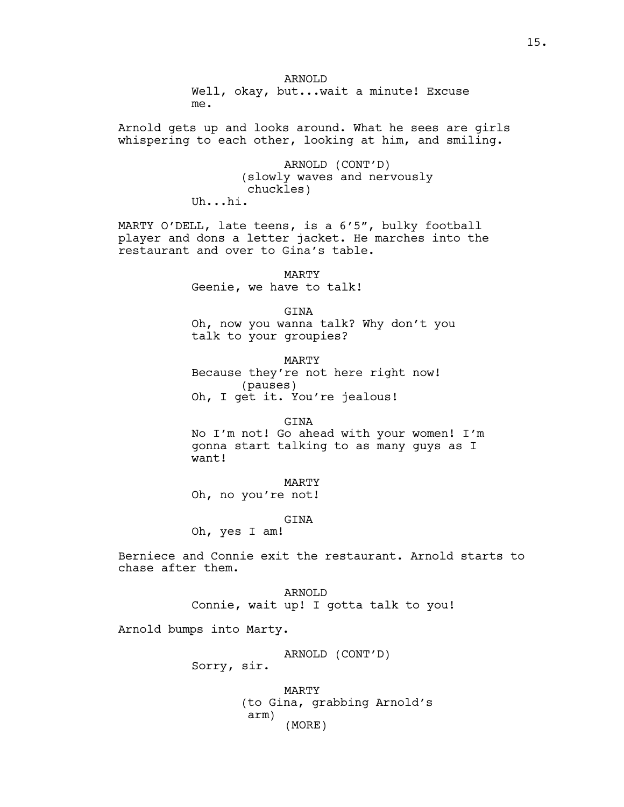ARNOLD Well, okay, but...wait a minute! Excuse me.

Arnold gets up and looks around. What he sees are girls whispering to each other, looking at him, and smiling.

> ARNOLD (CONT'D) (slowly waves and nervously chuckles) Uh...hi.

MARTY O'DELL, late teens, is a 6'5", bulky football player and dons a letter jacket. He marches into the restaurant and over to Gina's table.

> MARTY Geenie, we have to talk!

GINA Oh, now you wanna talk? Why don't you talk to your groupies?

MARTY Because they're not here right now! (pauses) Oh, I get it. You're jealous!

GINA No I'm not! Go ahead with your women! I'm gonna start talking to as many guys as I want!

MARTY Oh, no you're not!

GINA

Oh, yes I am!

Berniece and Connie exit the restaurant. Arnold starts to chase after them.

> ARNOLD Connie, wait up! I gotta talk to you!

Arnold bumps into Marty.

ARNOLD (CONT'D)

Sorry, sir.

MARTY (to Gina, grabbing Arnold's arm) (MORE)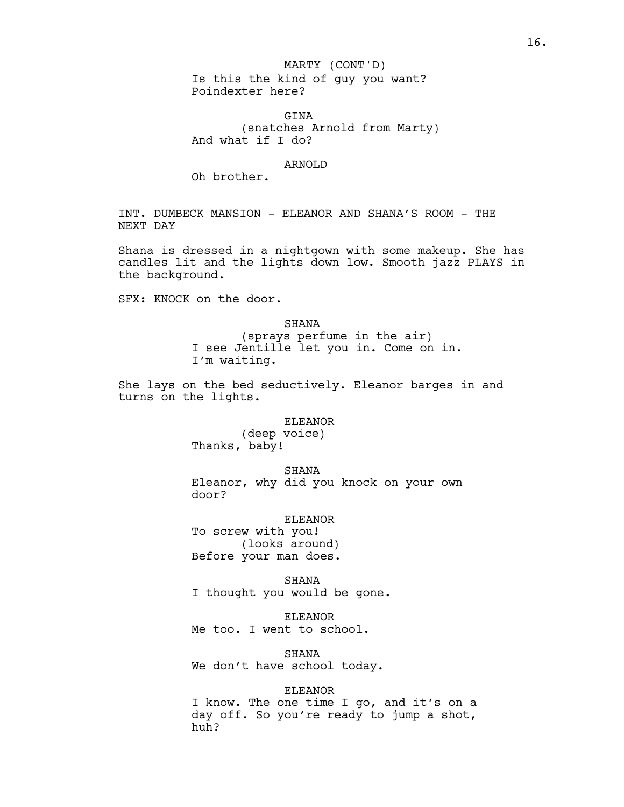## MARTY (CONT'D)

Is this the kind of guy you want? Poindexter here?

GTNA (snatches Arnold from Marty) And what if I do?

#### ARNOLD

Oh brother.

INT. DUMBECK MANSION - ELEANOR AND SHANA'S ROOM - THE NEXT DAY

Shana is dressed in a nightgown with some makeup. She has candles lit and the lights down low. Smooth jazz PLAYS in the background.

SFX: KNOCK on the door.

## SHANA

(sprays perfume in the air) I see Jentille let you in. Come on in. I'm waiting.

She lays on the bed seductively. Eleanor barges in and turns on the lights.

## ELEANOR

(deep voice) Thanks, baby!

SHANA

Eleanor, why did you knock on your own door?

#### ELEANOR

To screw with you! (looks around) Before your man does.

SHANA I thought you would be gone.

ELEANOR Me too. I went to school.

SHANA We don't have school today.

## ELEANOR

I know. The one time I go, and it's on a day off. So you're ready to jump a shot, huh?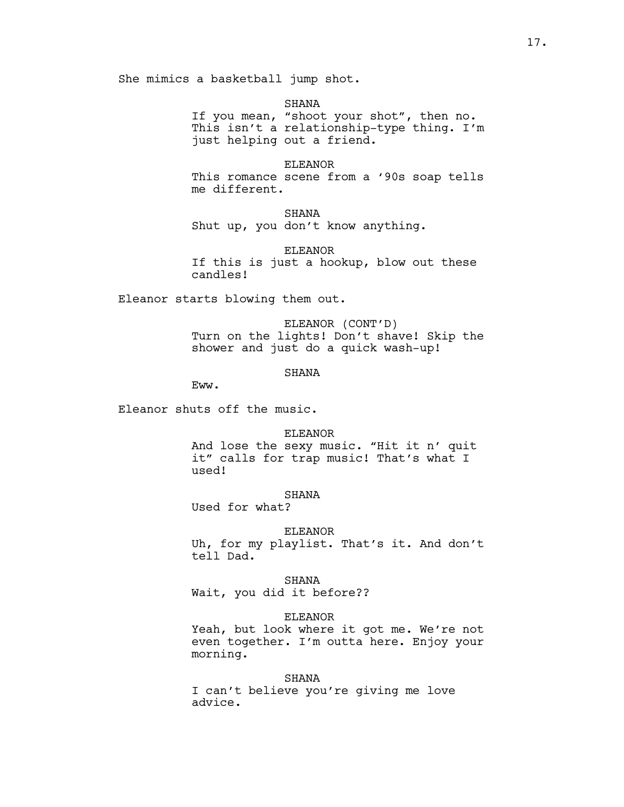She mimics a basketball jump shot.

#### SHANA

If you mean, "shoot your shot", then no. This isn't a relationship-type thing. I'm just helping out a friend.

#### ELEANOR

This romance scene from a '90s soap tells me different.

SHANA

Shut up, you don't know anything.

ELEANOR

If this is just a hookup, blow out these candles!

Eleanor starts blowing them out.

ELEANOR (CONT'D) Turn on the lights! Don't shave! Skip the shower and just do a quick wash-up!

# **SHANA**

Eww.

Eleanor shuts off the music.

#### ELEANOR

And lose the sexy music. "Hit it n' quit it" calls for trap music! That's what I used!

## SHANA

Used for what?

## ELEANOR

Uh, for my playlist. That's it. And don't tell Dad.

SHANA

Wait, you did it before??

### ELEANOR

Yeah, but look where it got me. We're not even together. I'm outta here. Enjoy your morning.

## SHANA

I can't believe you're giving me love advice.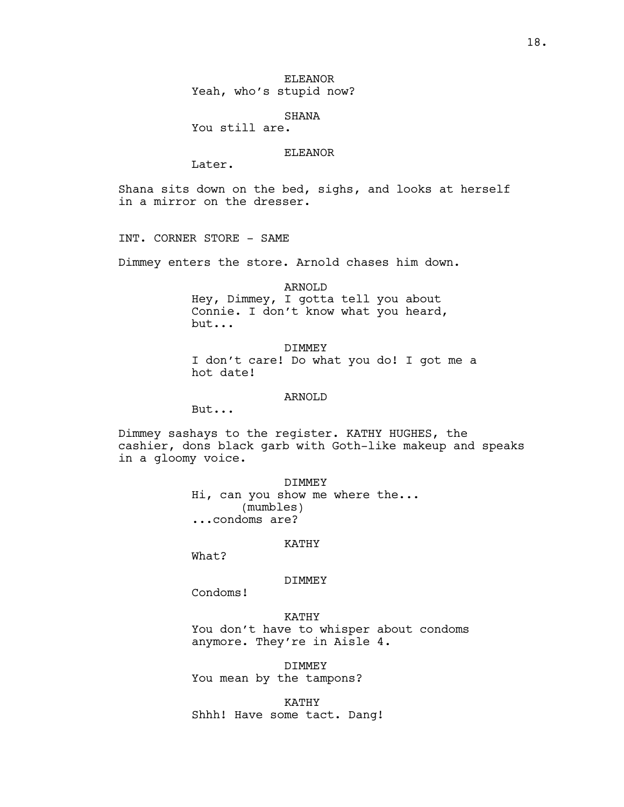ELEANOR Yeah, who's stupid now?

SHANA

You still are.

# ELEANOR

Later.

Shana sits down on the bed, sighs, and looks at herself in a mirror on the dresser.

INT. CORNER STORE - SAME

Dimmey enters the store. Arnold chases him down.

ARNOLD Hey, Dimmey, I gotta tell you about Connie. I don't know what you heard, but...

DIMMEY I don't care! Do what you do! I got me a hot date!

### ARNOLD

But...

Dimmey sashays to the register. KATHY HUGHES, the cashier, dons black garb with Goth-like makeup and speaks in a gloomy voice.

> DIMMEY Hi, can you show me where the... (mumbles) ...condoms are?

## KATHY

What?

#### DIMMEY

Condoms!

## KATHY

You don't have to whisper about condoms anymore. They're in Aisle 4.

DIMMEY You mean by the tampons?

KATHY Shhh! Have some tact. Dang!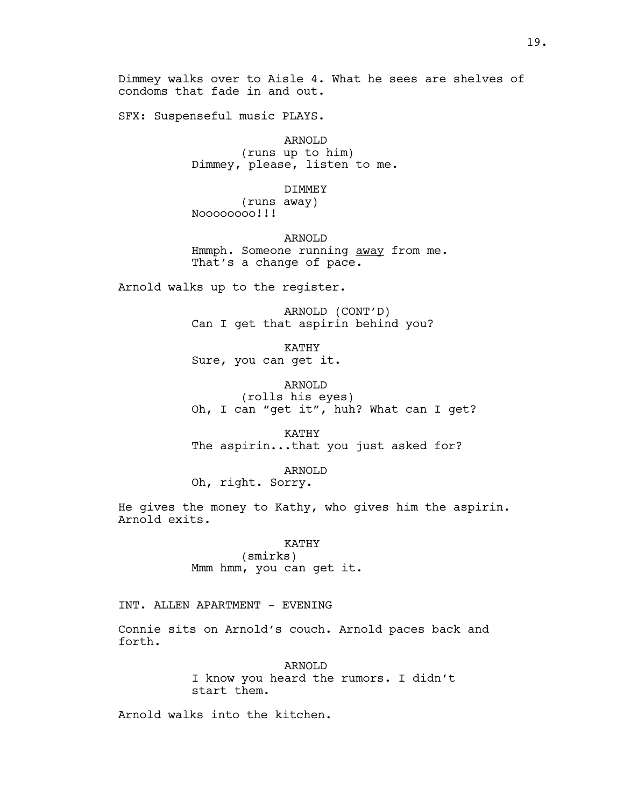Dimmey walks over to Aisle 4. What he sees are shelves of condoms that fade in and out.

SFX: Suspenseful music PLAYS.

ARNOLD

(runs up to him) Dimmey, please, listen to me.

DIMMEY

(runs away) Noooooooo!!!

ARNOLD Hmmph. Someone running away from me. That's a change of pace.

Arnold walks up to the register.

ARNOLD (CONT'D) Can I get that aspirin behind you?

KATHY Sure, you can get it.

ARNOLD (rolls his eyes) Oh, I can "get it", huh? What can I get?

KATHY The aspirin...that you just asked for?

ARNOLD Oh, right. Sorry.

He gives the money to Kathy, who gives him the aspirin. Arnold exits.

KATHY

(smirks) Mmm hmm, you can get it.

INT. ALLEN APARTMENT - EVENING

Connie sits on Arnold's couch. Arnold paces back and forth.

ARNOLD

I know you heard the rumors. I didn't start them.

Arnold walks into the kitchen.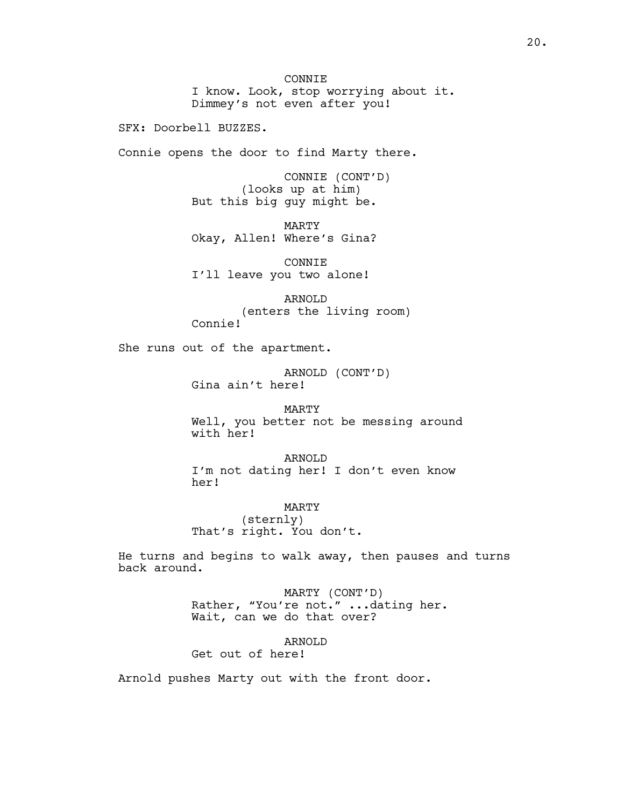CONNIE I know. Look, stop worrying about it. Dimmey's not even after you!

SFX: Doorbell BUZZES.

Connie opens the door to find Marty there.

CONNIE (CONT'D) (looks up at him) But this big guy might be.

MARTY Okay, Allen! Where's Gina?

CONNIE I'll leave you two alone!

ARNOLD (enters the living room) Connie!

She runs out of the apartment.

ARNOLD (CONT'D) Gina ain't here!

MARTY Well, you better not be messing around with her!

ARNOLD I'm not dating her! I don't even know her!

MARTY (sternly) That's right. You don't.

He turns and begins to walk away, then pauses and turns back around.

> MARTY (CONT'D) Rather, "You're not." ...dating her. Wait, can we do that over?

> > ARNOLD

Get out of here!

Arnold pushes Marty out with the front door.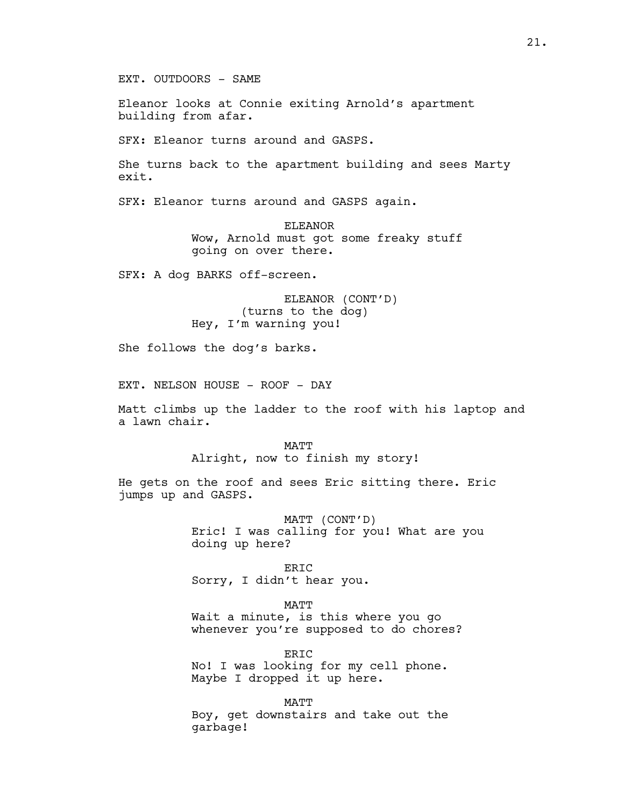EXT. OUTDOORS - SAME

Eleanor looks at Connie exiting Arnold's apartment building from afar.

SFX: Eleanor turns around and GASPS.

She turns back to the apartment building and sees Marty exit.

SFX: Eleanor turns around and GASPS again.

ELEANOR Wow, Arnold must got some freaky stuff going on over there.

SFX: A dog BARKS off-screen.

ELEANOR (CONT'D) (turns to the dog) Hey, I'm warning you!

She follows the dog's barks.

EXT. NELSON HOUSE - ROOF - DAY

Matt climbs up the ladder to the roof with his laptop and a lawn chair.

> MATT Alright, now to finish my story!

He gets on the roof and sees Eric sitting there. Eric jumps up and GASPS.

> MATT (CONT'D) Eric! I was calling for you! What are you doing up here?

ERIC Sorry, I didn't hear you.

MATT

Wait a minute, is this where you go whenever you're supposed to do chores?

ERIC No! I was looking for my cell phone. Maybe I dropped it up here.

MATT

Boy, get downstairs and take out the garbage!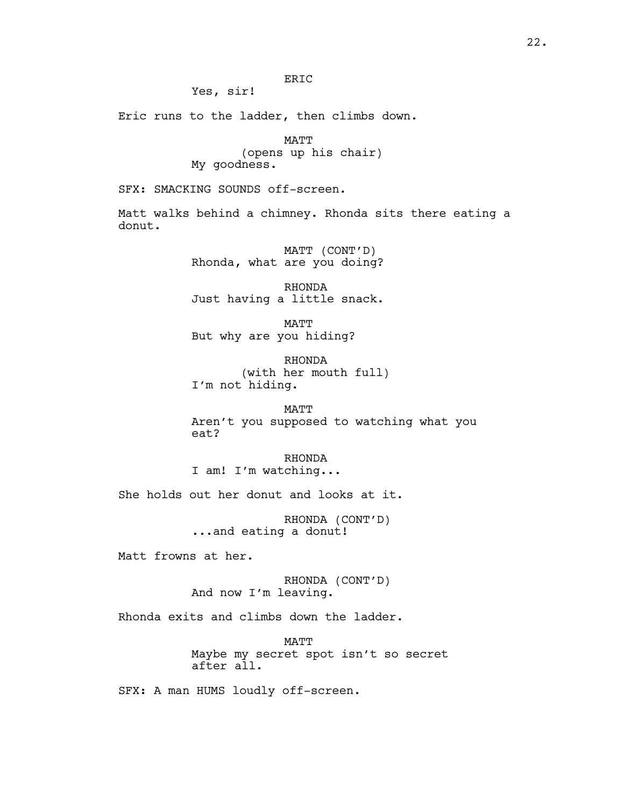# ERIC

Yes, sir!

Eric runs to the ladder, then climbs down.

MATT (opens up his chair) My goodness.

SFX: SMACKING SOUNDS off-screen.

Matt walks behind a chimney. Rhonda sits there eating a donut.

> MATT (CONT'D) Rhonda, what are you doing?

> RHONDA Just having a little snack.

MATT But why are you hiding?

RHONDA (with her mouth full) I'm not hiding.

MATT Aren't you supposed to watching what you eat?

RHONDA I am! I'm watching...

She holds out her donut and looks at it.

RHONDA (CONT'D) ...and eating a donut!

Matt frowns at her.

RHONDA (CONT'D) And now I'm leaving.

Rhonda exits and climbs down the ladder.

MATT Maybe my secret spot isn't so secret after all.

SFX: A man HUMS loudly off-screen.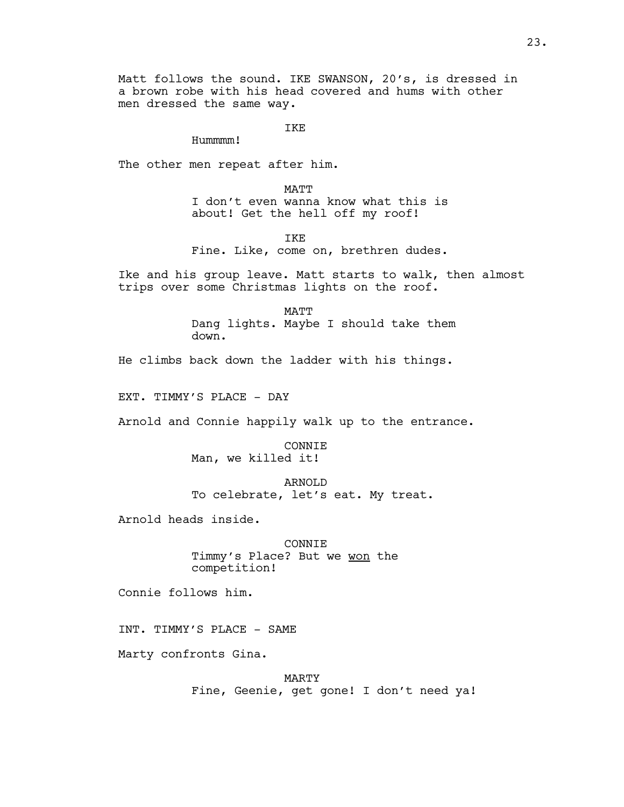Matt follows the sound. IKE SWANSON, 20's, is dressed in a brown robe with his head covered and hums with other men dressed the same way.

IKE

Hummmm!

The other men repeat after him.

MATT I don't even wanna know what this is about! Get the hell off my roof!

TKE.

Fine. Like, come on, brethren dudes.

Ike and his group leave. Matt starts to walk, then almost trips over some Christmas lights on the roof.

> MATT Dang lights. Maybe I should take them down.

He climbs back down the ladder with his things.

EXT. TIMMY'S PLACE - DAY

Arnold and Connie happily walk up to the entrance.

CONNIE Man, we killed it!

ARNOLD To celebrate, let's eat. My treat.

Arnold heads inside.

CONNIE Timmy's Place? But we won the competition!

Connie follows him.

INT. TIMMY'S PLACE - SAME

Marty confronts Gina.

MARTY Fine, Geenie, get gone! I don't need ya!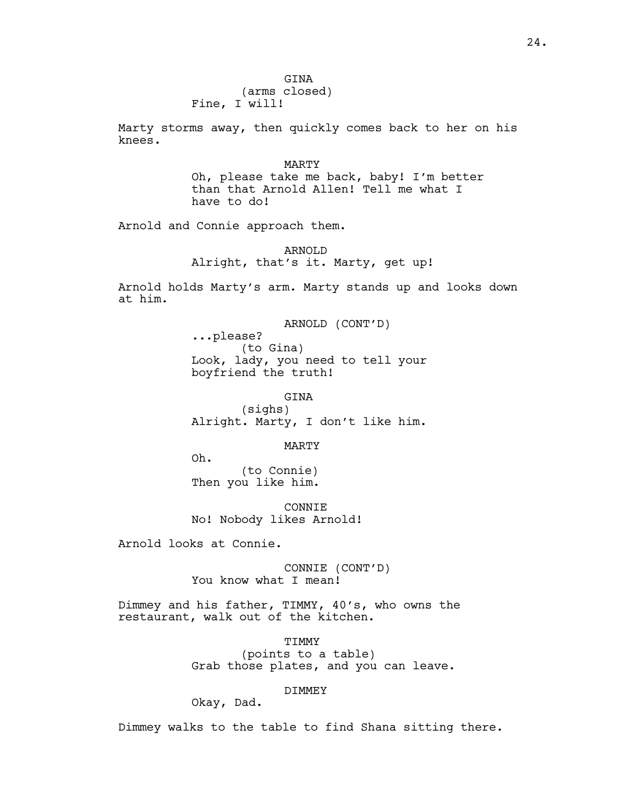24.

GINA (arms closed) Fine, I will!

Marty storms away, then quickly comes back to her on his knees.

> MARTY Oh, please take me back, baby! I'm better than that Arnold Allen! Tell me what I have to do!

Arnold and Connie approach them.

# ARNOLD Alright, that's it. Marty, get up!

Arnold holds Marty's arm. Marty stands up and looks down at him.

> ARNOLD (CONT'D) ...please? (to Gina) Look, lady, you need to tell your boyfriend the truth!

> GINA (sighs) Alright. Marty, I don't like him.

## MARTY

Oh. (to Connie) Then you like him.

CONNIE No! Nobody likes Arnold!

Arnold looks at Connie.

CONNIE (CONT'D) You know what I mean!

Dimmey and his father, TIMMY, 40's, who owns the restaurant, walk out of the kitchen.

> TIMMY (points to a table) Grab those plates, and you can leave.

# DIMMEY

Okay, Dad.

Dimmey walks to the table to find Shana sitting there.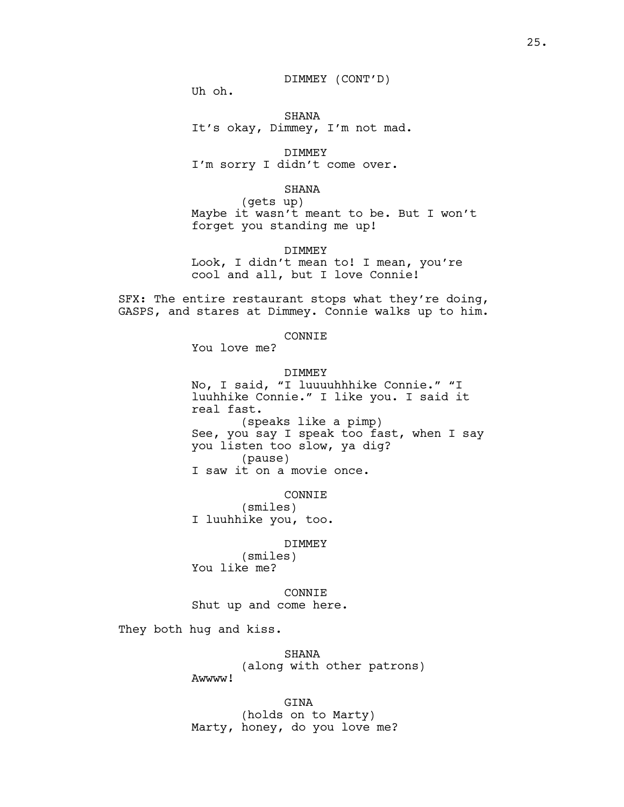## DIMMEY (CONT'D)

Uh oh.

## SHANA It's okay, Dimmey, I'm not mad.

DIMMEY I'm sorry I didn't come over.

#### SHANA

(gets up) Maybe it wasn't meant to be. But I won't forget you standing me up!

DIMMEY

Look, I didn't mean to! I mean, you're cool and all, but I love Connie!

SFX: The entire restaurant stops what they're doing, GASPS, and stares at Dimmey. Connie walks up to him.

## CONNIE

You love me?

## DIMMEY

No, I said, "I luuuuhhhike Connie." "I luuhhike Connie." I like you. I said it real fast. (speaks like a pimp) See, you say I speak too fast, when I say you listen too slow, ya dig? (pause) I saw it on a movie once.

#### CONNIE

(smiles) I luuhhike you, too.

#### DIMMEY

(smiles) You like me?

CONNIE Shut up and come here.

They both hug and kiss.

SHANA (along with other patrons) Awwww!

GINA

(holds on to Marty) Marty, honey, do you love me?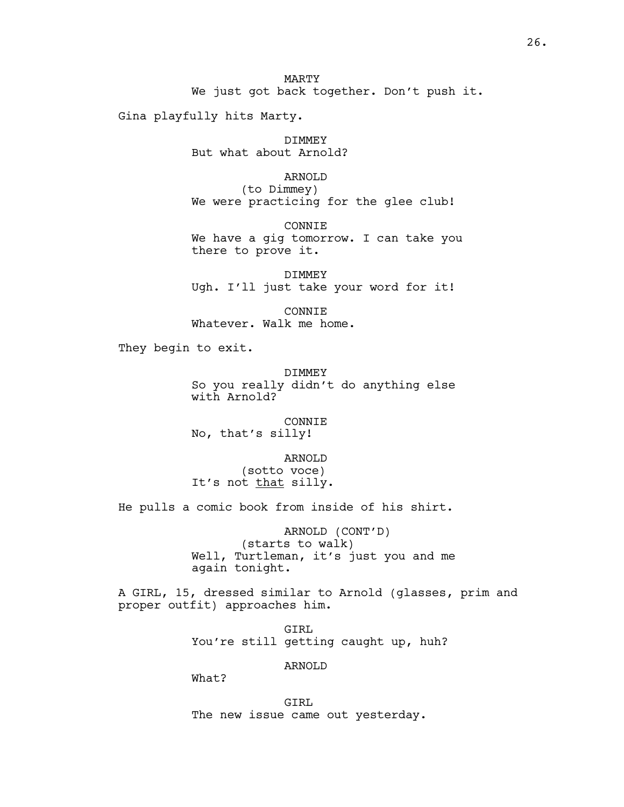Gina playfully hits Marty.

DIMMEY But what about Arnold?

ARNOLD

(to Dimmey) We were practicing for the glee club!

CONNIE

We have a gig tomorrow. I can take you there to prove it.

DIMMEY Ugh. I'll just take your word for it!

CONNIE Whatever. Walk me home.

They begin to exit.

DIMMEY So you really didn't do anything else with Arnold?

CONNIE No, that's silly!

ARNOLD (sotto voce) It's not that silly.

He pulls a comic book from inside of his shirt.

ARNOLD (CONT'D) (starts to walk) Well, Turtleman, it's just you and me again tonight.

A GIRL, 15, dressed similar to Arnold (glasses, prim and proper outfit) approaches him.

> GIRL You're still getting caught up, huh?

> > ARNOLD

What?

GIRL The new issue came out yesterday.